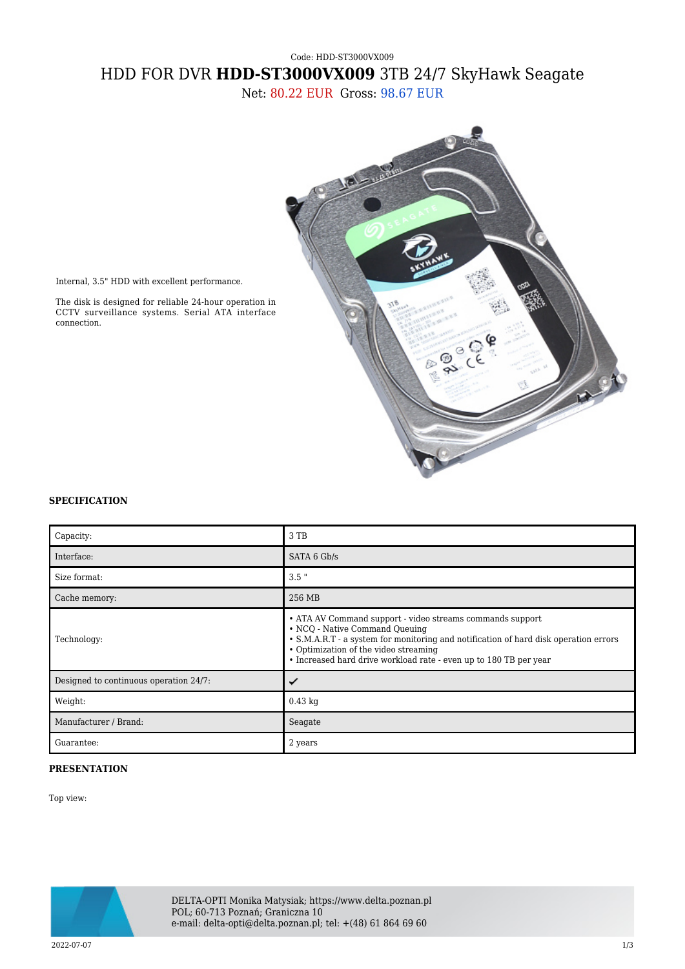## Code: HDD-ST3000VX009 HDD FOR DVR **HDD-ST3000VX009** 3TB 24/7 SkyHawk Seagate

Net: 80.22 EUR Gross: 98.67 EUR



Internal, 3.5" HDD with excellent performance.

The disk is designed for reliable 24-hour operation in CCTV surveillance systems. Serial ATA interface connection.

## **SPECIFICATION**

| Capacity:                              | 3 TB                                                                                                                                                                                                                                                                                              |
|----------------------------------------|---------------------------------------------------------------------------------------------------------------------------------------------------------------------------------------------------------------------------------------------------------------------------------------------------|
| Interface:                             | SATA 6 Gb/s                                                                                                                                                                                                                                                                                       |
| Size format:                           | $3.5$ "                                                                                                                                                                                                                                                                                           |
| Cache memory:                          | 256 MB                                                                                                                                                                                                                                                                                            |
| Technology:                            | • ATA AV Command support - video streams commands support<br>• NCQ - Native Command Queuing<br>• S.M.A.R.T - a system for monitoring and notification of hard disk operation errors<br>• Optimization of the video streaming<br>• Increased hard drive workload rate - even up to 180 TB per year |
| Designed to continuous operation 24/7: |                                                                                                                                                                                                                                                                                                   |
| Weight:                                | $0.43$ kg                                                                                                                                                                                                                                                                                         |
| Manufacturer / Brand:                  | Seagate                                                                                                                                                                                                                                                                                           |
| Guarantee:                             | 2 years                                                                                                                                                                                                                                                                                           |

## **PRESENTATION**

Top view:



DELTA-OPTI Monika Matysiak; https://www.delta.poznan.pl POL; 60-713 Poznań; Graniczna 10 e-mail: delta-opti@delta.poznan.pl; tel: +(48) 61 864 69 60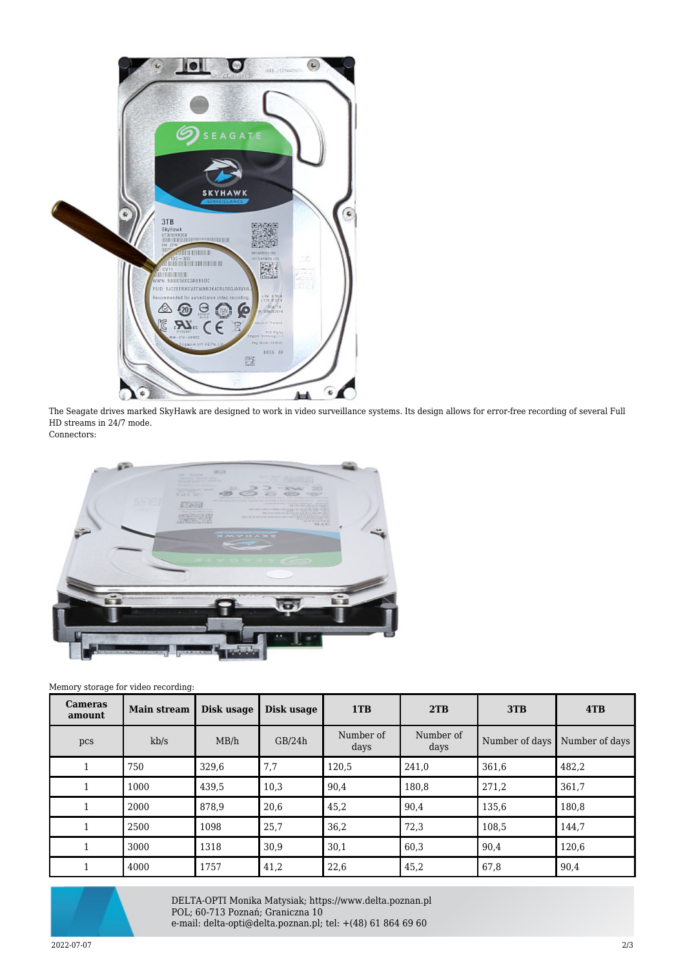

The Seagate drives marked SkyHawk are designed to work in video surveillance systems. Its design allows for error-free recording of several Full HD streams in 24/7 mode. Connectors:



| nory storage for video recording: |                    |            |            |                   |                   |                |                |  |  |  |
|-----------------------------------|--------------------|------------|------------|-------------------|-------------------|----------------|----------------|--|--|--|
| <b>Cameras</b><br>amount          | <b>Main stream</b> | Disk usage | Disk usage | 1TB               | 2TB               | 3TB            | 4TB            |  |  |  |
| pcs                               | kb/s               | MB/h       | GB/24h     | Number of<br>days | Number of<br>days | Number of days | Number of days |  |  |  |
| 1                                 | 750                | 329,6      | 7,7        | 120.5             | 241,0             | 361,6          | 482,2          |  |  |  |
| $\mathbf{1}$                      | 1000               | 439,5      | 10,3       | 90,4              | 180,8             | 271,2          | 361,7          |  |  |  |
| $\mathbf{1}$                      | 2000               | 878.9      | 20,6       | 45,2              | 90,4              | 135,6          | 180,8          |  |  |  |
| $\mathbf{1}$                      | 2500               | 1098       | 25,7       | 36,2              | 72,3              | 108,5          | 144,7          |  |  |  |
| $\mathbf{1}$                      | 3000               | 1318       | 30,9       | 30,1              | 60,3              | 90,4           | 120,6          |  |  |  |
|                                   | 4000               | 1757       | 41,2       | 22,6              | 45,2              | 67,8           | 90,4           |  |  |  |





DELTA-OPTI Monika Matysiak; https://www.delta.poznan.pl POL; 60-713 Poznań; Graniczna 10 e-mail: delta-opti@delta.poznan.pl; tel: +(48) 61 864 69 60

2022-07-07 2/3